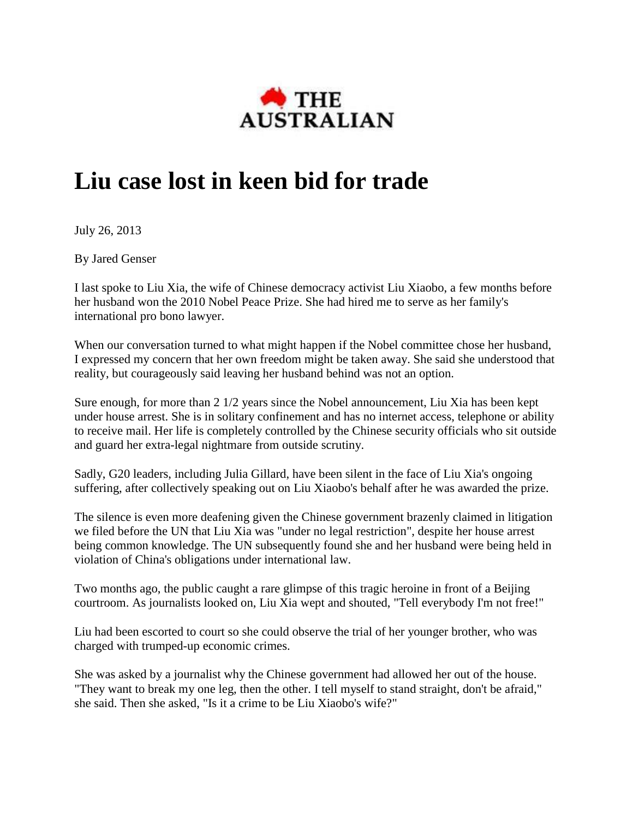

## **Liu case lost in keen bid for trade**

July 26, 2013

By Jared Genser

I last spoke to Liu Xia, the wife of Chinese democracy activist Liu Xiaobo, a few months before her husband won the 2010 Nobel Peace Prize. She had hired me to serve as her family's international pro bono lawyer.

When our conversation turned to what might happen if the Nobel committee chose her husband, I expressed my concern that her own freedom might be taken away. She said she understood that reality, but courageously said leaving her husband behind was not an option.

Sure enough, for more than 2 1/2 years since the Nobel announcement, Liu Xia has been kept under house arrest. She is in solitary confinement and has no internet access, telephone or ability to receive mail. Her life is completely controlled by the Chinese security officials who sit outside and guard her extra-legal nightmare from outside scrutiny.

Sadly, G20 leaders, including Julia Gillard, have been silent in the face of Liu Xia's ongoing suffering, after collectively speaking out on Liu Xiaobo's behalf after he was awarded the prize.

The silence is even more deafening given the Chinese government brazenly claimed in litigation we filed before the UN that Liu Xia was "under no legal restriction", despite her house arrest being common knowledge. The UN subsequently found she and her husband were being held in violation of China's obligations under international law.

Two months ago, the public caught a rare glimpse of this tragic heroine in front of a Beijing courtroom. As journalists looked on, Liu Xia wept and shouted, "Tell everybody I'm not free!"

Liu had been escorted to court so she could observe the trial of her younger brother, who was charged with trumped-up economic crimes.

She was asked by a journalist why the Chinese government had allowed her out of the house. "They want to break my one leg, then the other. I tell myself to stand straight, don't be afraid," she said. Then she asked, "Is it a crime to be Liu Xiaobo's wife?"